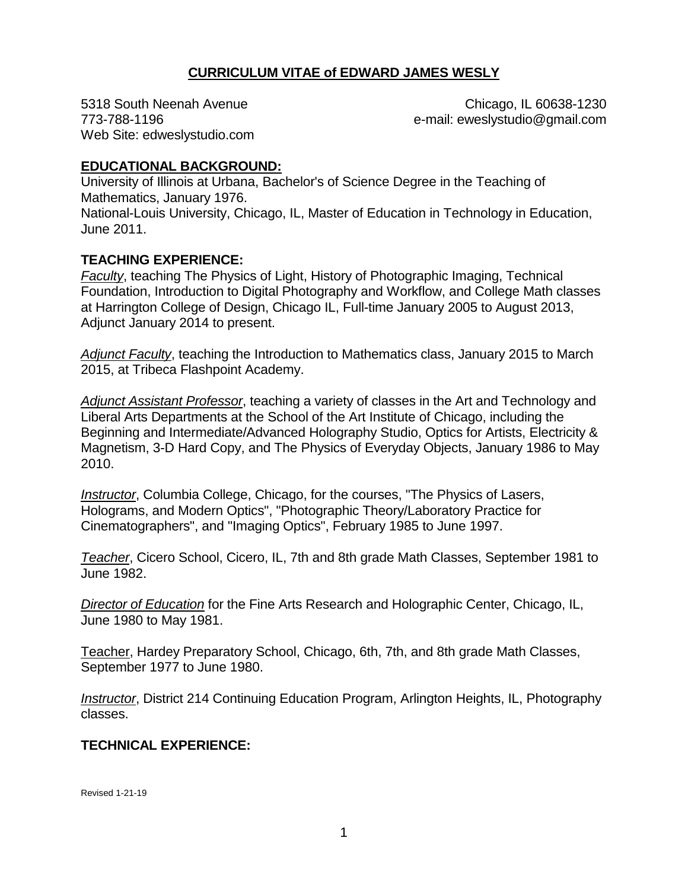# **CURRICULUM VITAE of EDWARD JAMES WESLY**

Web Site: edweslystudio.com

5318 South Neenah Avenue Chicago, IL 60638-1230 773-788-1196 e-mail: eweslystudio@gmail.com

### **EDUCATIONAL BACKGROUND:**

University of Illinois at Urbana, Bachelor's of Science Degree in the Teaching of Mathematics, January 1976. National-Louis University, Chicago, IL, Master of Education in Technology in Education, June 2011.

#### **TEACHING EXPERIENCE:**

*Faculty*, teaching The Physics of Light, History of Photographic Imaging, Technical Foundation, Introduction to Digital Photography and Workflow, and College Math classes at Harrington College of Design, Chicago IL, Full-time January 2005 to August 2013, Adjunct January 2014 to present.

*Adjunct Faculty*, teaching the Introduction to Mathematics class, January 2015 to March 2015, at Tribeca Flashpoint Academy.

*Adjunct Assistant Professor*, teaching a variety of classes in the Art and Technology and Liberal Arts Departments at the School of the Art Institute of Chicago, including the Beginning and Intermediate/Advanced Holography Studio, Optics for Artists, Electricity & Magnetism, 3-D Hard Copy, and The Physics of Everyday Objects, January 1986 to May 2010.

*Instructor*, Columbia College, Chicago, for the courses, "The Physics of Lasers, Holograms, and Modern Optics", "Photographic Theory/Laboratory Practice for Cinematographers", and "Imaging Optics", February 1985 to June 1997.

*Teacher*, Cicero School, Cicero, IL, 7th and 8th grade Math Classes, September 1981 to June 1982.

*Director of Education* for the Fine Arts Research and Holographic Center, Chicago, IL, June 1980 to May 1981.

Teacher, Hardey Preparatory School, Chicago, 6th, 7th, and 8th grade Math Classes, September 1977 to June 1980.

*Instructor*, District 214 Continuing Education Program, Arlington Heights, IL, Photography classes.

### **TECHNICAL EXPERIENCE:**

Revised 1-21-19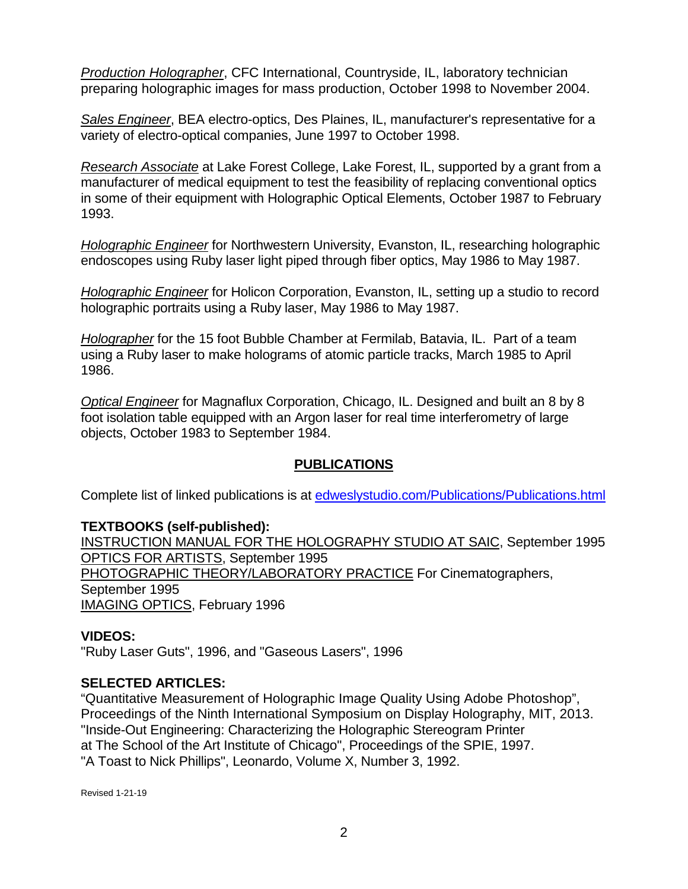*Production Holographer*, CFC International, Countryside, IL, laboratory technician preparing holographic images for mass production, October 1998 to November 2004.

*Sales Engineer*, BEA electro-optics, Des Plaines, IL, manufacturer's representative for a variety of electro-optical companies, June 1997 to October 1998.

*Research Associate* at Lake Forest College, Lake Forest, IL, supported by a grant from a manufacturer of medical equipment to test the feasibility of replacing conventional optics in some of their equipment with Holographic Optical Elements, October 1987 to February 1993.

*Holographic Engineer* for Northwestern University, Evanston, IL, researching holographic endoscopes using Ruby laser light piped through fiber optics, May 1986 to May 1987.

*Holographic Engineer* for Holicon Corporation, Evanston, IL, setting up a studio to record holographic portraits using a Ruby laser, May 1986 to May 1987.

*Holographer* for the 15 foot Bubble Chamber at Fermilab, Batavia, IL. Part of a team using a Ruby laser to make holograms of atomic particle tracks, March 1985 to April 1986.

*Optical Engineer* for Magnaflux Corporation, Chicago, IL. Designed and built an 8 by 8 foot isolation table equipped with an Argon laser for real time interferometry of large objects, October 1983 to September 1984.

# **PUBLICATIONS**

Complete list of linked publications is at *[edweslystudio.com/Publications/Publications.html](http://edweslystudio.com/Publications/Publications.html)* 

### **TEXTBOOKS (self-published):**

INSTRUCTION MANUAL FOR THE HOLOGRAPHY STUDIO AT SAIC, September 1995 OPTICS FOR ARTISTS, September 1995 PHOTOGRAPHIC THEORY/LABORATORY PRACTICE For Cinematographers, September 1995 IMAGING OPTICS, February 1996

# **VIDEOS:**

"Ruby Laser Guts", 1996, and "Gaseous Lasers", 1996

### **SELECTED ARTICLES:**

"Quantitative Measurement of Holographic Image Quality Using Adobe Photoshop", Proceedings of the Ninth International Symposium on Display Holography, MIT, 2013. "Inside-Out Engineering: Characterizing the Holographic Stereogram Printer at The School of the Art Institute of Chicago", Proceedings of the SPIE, 1997. "A Toast to Nick Phillips", Leonardo, Volume X, Number 3, 1992.

Revised 1-21-19